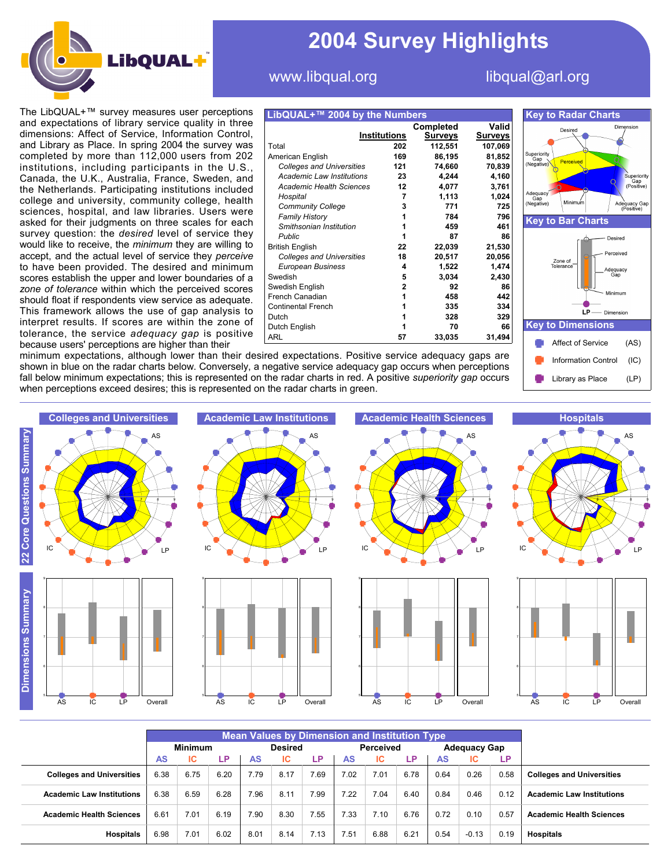

# **2004 Survey Highlights**

## www.libqual.org libqual@arl.org

The LibQUAL+™ survey measures user perceptions and expectations of library service quality in three dimensions: Affect of Service, Information Control, and Library as Place. In spring 2004 the survey was completed by more than 112,000 users from 202 institutions, including participants in the U.S., Canada, the U.K., Australia, France, Sweden, and the Netherlands. Participating institutions included college and university, community college, health sciences, hospital, and law libraries. Users were asked for their judgments on three scales for each survey question: the *desired* level of service they would like to receive, the *minimum* they are willing to accept, and the actual level of service they *perceive* to have been provided. The desired and minimum scores establish the upper and lower boundaries of a *zone of tolerance* within which the perceived scores should float if respondents view service as adequate. This framework allows the use of gap analysis to interpret results. If scores are within the zone of tolerance, the service *adequacy gap* is positive because users' perceptions are higher than their

| LibQUAL+™ 2004 by the Numbers    |                     |                             |                         |
|----------------------------------|---------------------|-----------------------------|-------------------------|
|                                  | <b>Institutions</b> | Completed<br><u>Surveys</u> | Valid<br><u>Surveys</u> |
| Total                            | 202                 | 112,551                     | 107,069                 |
| American English                 | 169                 | 86,195                      | 81,852                  |
| <b>Colleges and Universities</b> | 121                 | 74,660                      | 70,839                  |
| Academic Law Institutions        | 23                  | 4,244                       | 4,160                   |
| <b>Academic Health Sciences</b>  | 12                  | 4,077                       | 3,761                   |
| Hospital                         | 7                   | 1,113                       | 1,024                   |
| <b>Community College</b>         | 3                   | 771                         | 725                     |
| <b>Family History</b>            | 1                   | 784                         | 796                     |
| Smithsonian Institution          | 1                   | 459                         | 461                     |
| Public                           | 1                   | 87                          | 86                      |
| <b>British English</b>           | 22                  | 22,039                      | 21,530                  |
| <b>Colleges and Universities</b> | 18                  | 20,517                      | 20,056                  |
| European Business                | 4                   | 1,522                       | 1,474                   |
| Swedish                          | 5                   | 3,034                       | 2,430                   |
| Swedish English                  | 2                   | 92                          | 86                      |
| French Canadian                  | 1                   | 458                         | 442                     |
| <b>Continental French</b>        | 1                   | 335                         | 334                     |
| Dutch                            | 1                   | 328                         | 329                     |
| Dutch English                    | 1                   | 70                          | 66                      |
| ARL                              | 57                  | 33,035                      | 31,494                  |



minimum expectations, although lower than their desired expectations. Positive service adequacy gaps are shown in blue on the radar charts below. Conversely, a negative service adequacy gap occurs when perceptions fall below minimum expectations; this is represented on the radar charts in red. A positive *superiority gap* occurs when perceptions exceed desires; this is represented on the radar charts in green.

















|                                  | <b>Mean Values by Dimension and Institution Type</b> |      |                |      |                  |      |                     |      |      |           |         |      |                                  |
|----------------------------------|------------------------------------------------------|------|----------------|------|------------------|------|---------------------|------|------|-----------|---------|------|----------------------------------|
|                                  | <b>Minimum</b>                                       |      | <b>Desired</b> |      | <b>Perceived</b> |      | <b>Adequacy Gap</b> |      |      |           |         |      |                                  |
|                                  | AS                                                   | ТC   | <b>LP</b>      | AS   | ТC               | LP   | AS                  | ТC   | LP.  | <b>AS</b> | ТC      | LP.  |                                  |
| <b>Colleges and Universities</b> | 6.38                                                 | 6.75 | 6.20           | 7.79 | 8.17             | 7.69 | 7.02                | 7.01 | 6.78 | 0.64      | 0.26    | 0.58 | <b>Colleges and Universities</b> |
| <b>Academic Law Institutions</b> | 6.38                                                 | 6.59 | 6.28           | 7.96 | 8.11             | 7.99 | 7.22                | 7.04 | 6.40 | 0.84      | 0.46    | 0.12 | <b>Academic Law Institutions</b> |
| <b>Academic Health Sciences</b>  | 6.61                                                 | 7.01 | 6.19           | 7.90 | 8.30             | 7.55 | 7.33                | 7.10 | 6.76 | 0.72      | 0.10    | 0.57 | <b>Academic Health Sciences</b>  |
| <b>Hospitals</b>                 | 6.98                                                 | 7.01 | 6.02           | 8.01 | 8.14             | 7.13 | 7.51                | 6.88 | 6.21 | 0.54      | $-0.13$ | 0.19 | <b>Hospitals</b>                 |